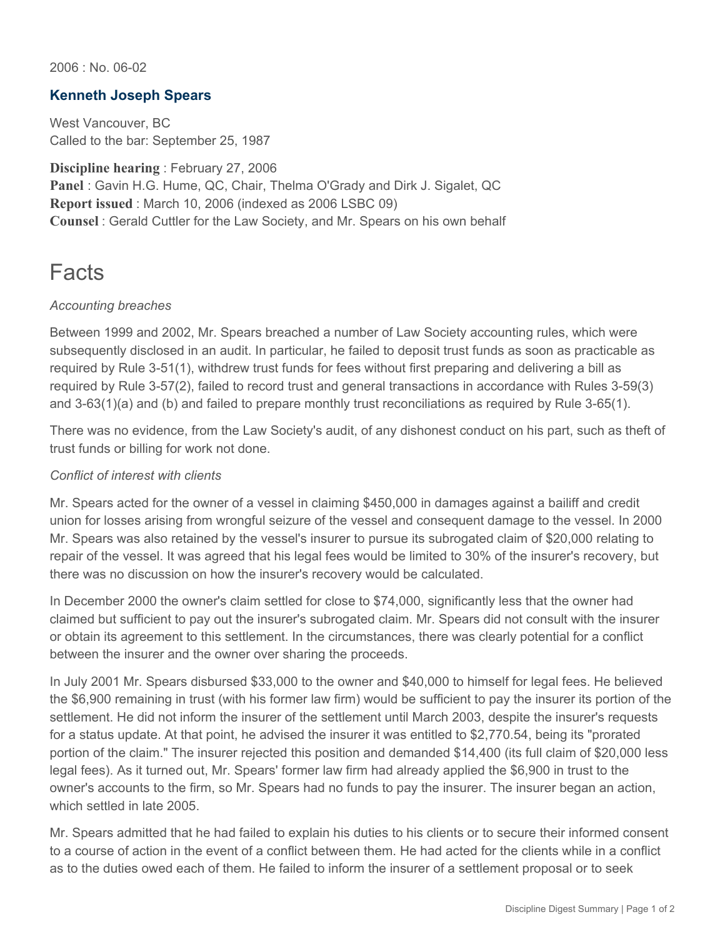2006 : No. 06-02

## **Kenneth Joseph Spears**

West Vancouver, BC Called to the bar: September 25, 1987

**Discipline hearing** : February 27, 2006 **Panel** : Gavin H.G. Hume, QC, Chair, Thelma O'Grady and Dirk J. Sigalet, QC **Report issued** : March 10, 2006 (indexed as 2006 LSBC 09) **Counsel** : Gerald Cuttler for the Law Society, and Mr. Spears on his own behalf

# **Facts**

### *Accounting breaches*

Between 1999 and 2002, Mr. Spears breached a number of Law Society accounting rules, which were subsequently disclosed in an audit. In particular, he failed to deposit trust funds as soon as practicable as required by Rule 3-51(1), withdrew trust funds for fees without first preparing and delivering a bill as required by Rule 3-57(2), failed to record trust and general transactions in accordance with Rules 3-59(3) and 3-63(1)(a) and (b) and failed to prepare monthly trust reconciliations as required by Rule 3-65(1).

There was no evidence, from the Law Society's audit, of any dishonest conduct on his part, such as theft of trust funds or billing for work not done.

#### *Conflict of interest with clients*

Mr. Spears acted for the owner of a vessel in claiming \$450,000 in damages against a bailiff and credit union for losses arising from wrongful seizure of the vessel and consequent damage to the vessel. In 2000 Mr. Spears was also retained by the vessel's insurer to pursue its subrogated claim of \$20,000 relating to repair of the vessel. It was agreed that his legal fees would be limited to 30% of the insurer's recovery, but there was no discussion on how the insurer's recovery would be calculated.

In December 2000 the owner's claim settled for close to \$74,000, significantly less that the owner had claimed but sufficient to pay out the insurer's subrogated claim. Mr. Spears did not consult with the insurer or obtain its agreement to this settlement. In the circumstances, there was clearly potential for a conflict between the insurer and the owner over sharing the proceeds.

In July 2001 Mr. Spears disbursed \$33,000 to the owner and \$40,000 to himself for legal fees. He believed the \$6,900 remaining in trust (with his former law firm) would be sufficient to pay the insurer its portion of the settlement. He did not inform the insurer of the settlement until March 2003, despite the insurer's requests for a status update. At that point, he advised the insurer it was entitled to \$2,770.54, being its "prorated portion of the claim." The insurer rejected this position and demanded \$14,400 (its full claim of \$20,000 less legal fees). As it turned out, Mr. Spears' former law firm had already applied the \$6,900 in trust to the owner's accounts to the firm, so Mr. Spears had no funds to pay the insurer. The insurer began an action, which settled in late 2005.

Mr. Spears admitted that he had failed to explain his duties to his clients or to secure their informed consent to a course of action in the event of a conflict between them. He had acted for the clients while in a conflict as to the duties owed each of them. He failed to inform the insurer of a settlement proposal or to seek